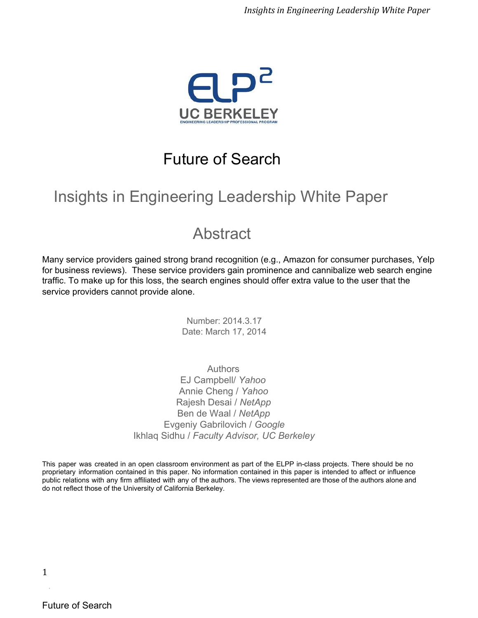

### Future of Search

# Insights in Engineering Leadership White Paper

### Abstract

Many service providers gained strong brand recognition (e.g., Amazon for consumer purchases, Yelp for business reviews). These service providers gain prominence and cannibalize web search engine traffic. To make up for this loss, the search engines should offer extra value to the user that the service providers cannot provide alone.

> Number: 2014.3.17 Date: March 17, 2014

Authors EJ Campbell/ *Yahoo* Annie Cheng / *Yahoo* Rajesh Desai / *NetApp* Ben de Waal / *NetApp* Evgeniy Gabrilovich / *Google* Ikhlaq Sidhu / *Faculty Advisor, UC Berkeley*

This paper was created in an open classroom environment as part of the ELPP in-class projects. There should be no proprietary information contained in this paper. No information contained in this paper is intended to affect or influence public relations with any firm affiliated with any of the authors. The views represented are those of the authors alone and do not reflect those of the University of California Berkeley.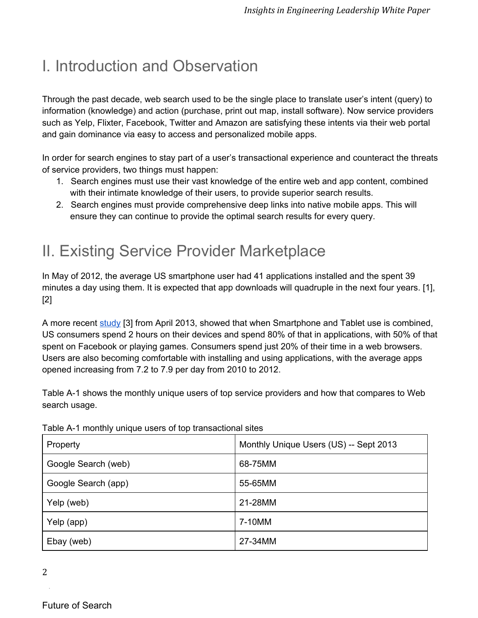# I. Introduction and Observation

Through the past decade, web search used to be the single place to translate user's intent (query) to information (knowledge) and action (purchase, print out map, install software). Now service providers such as Yelp, Flixter, Facebook, Twitter and Amazon are satisfying these intents via their web portal and gain dominance via easy to access and personalized mobile apps.

In order for search engines to stay part of a user's transactional experience and counteract the threats of service providers, two things must happen:

- 1. Search engines must use their vast knowledge of the entire web and app content, combined with their intimate knowledge of their users, to provide superior search results.
- 2. Search engines must provide comprehensive deep links into native mobile apps. This will ensure they can continue to provide the optimal search results for every query.

### II. Existing Service Provider Marketplace

In [May](http://www.google.com/url?q=http%3A%2F%2Fwww.emarketer.com%2FArticle%2FApp-Downloads-Will-Double-Next-Four-Years%2F1010579&sa=D&sntz=1&usg=AFQjCNEmUIqbrueo1WbyoQzSr86rCXHroA) of 2012, the average US smartphone user had 41 applications installed and the spent 39 minutes a day using them. It is expected that app downloads will quadruple in the next four years. [1], [2]

A more recent [study](http://www.google.com/url?q=http%3A%2F%2Fblog.flurry.com%2Fbid%2F95723%2FFlurry-Five-Year-Report-It-s-an-App-World-The-Web-Just-Lives-in-It&sa=D&sntz=1&usg=AFQjCNE0fl0IKNs1BvKRPZ5bLXfX12o5Kg) [3] from April 2013, showed that when Smartphone and Tablet use is combined, US consumers spend 2 hours on their devices and spend 80% of that in applications, with 50% of that spent on Facebook or playing games. Consumers spend just 20% of their time in a web browsers. Users are also becoming comfortable with installing and using applications, with the average apps opened increasing from 7.2 to 7.9 per day from 2010 to 2012.

Table A1 shows the monthly unique users of top service providers and how that compares to Web search usage.

| Property            | Monthly Unique Users (US) -- Sept 2013 |
|---------------------|----------------------------------------|
| Google Search (web) | 68-75MM                                |
| Google Search (app) | 55-65MM                                |
| Yelp (web)          | 21-28MM                                |
| Yelp (app)          | 7-10MM                                 |
| Ebay (web)          | 27-34MM                                |

Table A-1 monthly unique users of top transactional sites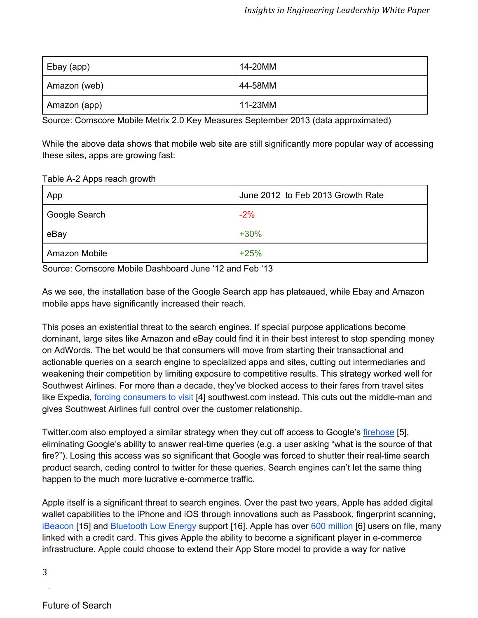| Ebay (app)   | 14-20MM |
|--------------|---------|
| Amazon (web) | 44-58MM |
| Amazon (app) | 11-23MM |

Source: Comscore Mobile Metrix 2.0 Key Measures September 2013 (data approximated)

While the above data shows that mobile web site are still significantly more popular way of accessing these sites, apps are growing fast:

Table A-2 Apps reach growth

| App           | June 2012 to Feb 2013 Growth Rate |
|---------------|-----------------------------------|
| Google Search | $-2%$                             |
| eBay          | $+30%$                            |
| Amazon Mobile | $+25%$                            |

Source: Comscore Mobile Dashboard June '12 and Feb '13

As we see, the installation base of the Google Search app has plateaued, while Ebay and Amazon mobile apps have significantly increased their reach.

This poses an existential threat to the search engines. If special purpose applications become dominant, large sites like Amazon and eBay could find it in their best interest to stop spending money on AdWords. The bet would be that consumers will move from starting their transactional and actionable queries on a search engine to specialized apps and sites, cutting out intermediaries and weakening their competition by limiting exposure to competitive results. This strategy worked well for Southwest Airlines. For more than a decade, they've blocked access to their fares from travel sites like Expedia, forcing [consumers](http://www.google.com/url?q=http%3A%2F%2Fnews.cnet.com%2F2100-1017-881149.html&sa=D&sntz=1&usg=AFQjCNHAQ8VrHg_e8Q4HLLxM2BPHqN5Jpg) to visit [4] southwest.com instead. This cuts out the middle-man and gives Southwest Airlines full control over the customer relationship.

Twitter.com also employed a similar strategy when they cut off access to Google's [firehose](http://www.google.com/url?q=http%3A%2F%2Fsearchengineland.com%2Fas-deal-with-twitter-expires-google-realtime-search-goes-offline-84175&sa=D&sntz=1&usg=AFQjCNGhfDJDdXm7dKQYa3ruf3cTM-m3JA) [5], eliminating Google's ability to answer real-time queries (e.g. a user asking "what is the source of that fire?"). Losing this access was so significant that Google was forced to shutter their real-time search product search, ceding control to twitter for these queries. Search engines can't let the same thing happen to the much more lucrative e-commerce traffic.

Apple itself is a significant threat to search engines. Over the past two years, Apple has added digital wallet capabilities to the iPhone and iOS through innovations such as Passbook, fingerprint scanning, [iBeacon](http://www.google.com/url?q=http%3A%2F%2Fsupport.apple.com%2Fkb%2FHT6048%2520&sa=D&sntz=1&usg=AFQjCNH78RhevVg0ZEQ4JdrntQTMMxBQjA) [15] and **[Bluetooth](http://www.google.com/url?q=http%3A%2F%2Fwww.mobilepaymentstoday.com%2Fblog%2F12157%2FBLE-vs-NFC-The-future-of-mobile-consumer-engagement-now-infographic&sa=D&sntz=1&usg=AFQjCNHYdlZcTpZOFBIDAwagtrTyW_FnUw) Low Energy support** [16]. Apple has over 600 [million](http://www.google.com/url?q=http%3A%2F%2Fwww.businessinsider.com%2Fchart-of-the-day-apple-has-600-million-accounts-blowing-away-every-other-company-2013-11&sa=D&sntz=1&usg=AFQjCNGT2CnET0uQ_1rOirE5WYXbbKFo-g) [6] users on file, many linked with a credit card. This gives Apple the ability to become a significant player in e-commerce infrastructure. Apple could choose to extend their App Store model to provide a way for native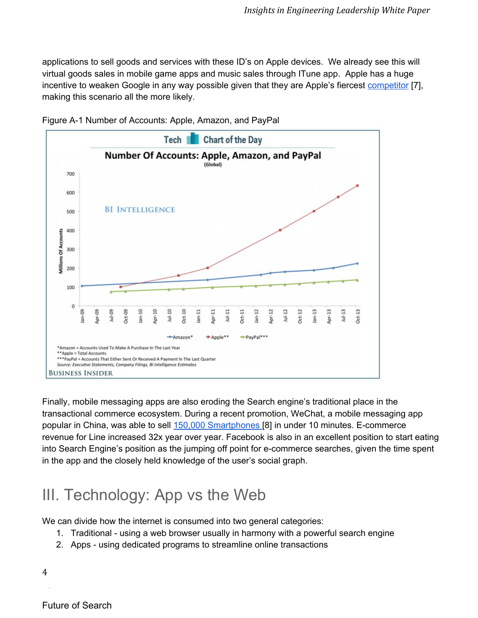applications to sell goods and services with these ID's on Apple devices. We already see this will virtual goods sales in mobile game apps and music sales through ITune app. Apple has a huge incentive to weaken Google in any way possible given that they are Apple's fiercest [competitor](http://www.google.com/url?q=http%3A%2F%2Fmashable.com%2F2014%2F02%2F07%2Fgoogle-second-most-valuable-company%2F&sa=D&sntz=1&usg=AFQjCNFIt7IeGxbWNE8UnFX0A4ukzo26SQ) [\[7\],](http://www.google.com/url?q=http%3A%2F%2Fsupport.apple.com%2Fkb%2FHT6048&sa=D&sntz=1&usg=AFQjCNHtw66j9Amqz8CE3zEU9fAtjXDFTw) making this [scenario](http://www.google.com/url?q=http%3A%2F%2Fsupport.apple.com%2Fkb%2FHT6048&sa=D&sntz=1&usg=AFQjCNHtw66j9Amqz8CE3zEU9fAtjXDFTw) all the more likely.



Figure A1 Number of Accounts: Apple, Amazon, and PayPal

Finally, mobile messaging apps are also eroding the Search engine's traditional place in the transactional commerce ecosystem. During a recent promotion, WeChat, a mobile messaging app popular in China, was able to sell 150,000 [Smartphones](http://www.google.com/url?q=http%3A%2F%2Fthenextweb.com%2Fasia%2F2013%2F11%2F28%2Fchinas-xiaomi-sold-150000-smartphones-10-minutes-using-chat-app%2F%23!AZvMf&sa=D&sntz=1&usg=AFQjCNECfvnNI6INajNazvJZKUj1mVPUCA) [8] in under 10 minutes. Ecommerce revenue for Line increased 32x year over year. Facebook is also in an excellent position to start eating into Search Engine's position as the jumping off point for e-commerce searches, given the time spent in the app and the closely held knowledge of the user's social graph.

# III. Technology: App vs the Web

We can divide how the internet is consumed into two general categories:

- 1. Traditional using a web browser usually in harmony with a powerful search engine
- 2. Apps using dedicated programs to streamline online transactions

4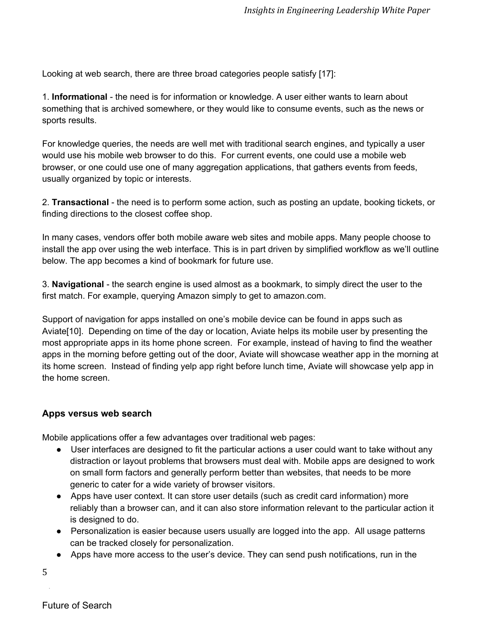Looking at web search, there are three broad categories people satisfy [17]:

1. **Informational** the need is for information or knowledge. A user either wants to learn about something that is archived somewhere, or they would like to consume events, such as the news or sports results.

For knowledge queries, the needs are well met with traditional search engines, and typically a user would use his mobile web browser to do this. For current events, one could use a mobile web browser, or one could use one of many aggregation applications, that gathers events from feeds, usually organized by topic or interests.

2. **Transactional** the need is to perform some action, such as posting an update, booking tickets, or finding directions to the closest coffee shop.

In many cases, vendors offer both mobile aware web sites and mobile apps. Many people choose to install the app over using the web interface. This is in part driven by simplified workflow as we'll outline below. The app becomes a kind of bookmark for future use.

3. **Navigational** the search engine is used almost as a bookmark, to simply direct the user to the first match. For example, querying Amazon simply to get to amazon.com.

Support of navigation for apps installed on one's mobile device can be found in apps such as Aviate[10]. Depending on time of the day or location, Aviate helps its mobile user by presenting the most appropriate apps in its home phone screen. For example, instead of having to find the weather apps in the morning before getting out of the door, Aviate will showcase weather app in the morning at its home screen. Instead of finding yelp app right before lunch time, Aviate will showcase yelp app in the home screen.

#### **Apps versus web search**

Mobile applications offer a few advantages over traditional web pages:

- User interfaces are designed to fit the particular actions a user could want to take without any distraction or layout problems that browsers must deal with. Mobile apps are designed to work on small form factors and generally perform better than websites, that needs to be more generic to cater for a wide variety of browser visitors.
- Apps have user context. It can store user details (such as credit card information) more reliably than a browser can, and it can also store information relevant to the particular action it is designed to do.
- Personalization is easier because users usually are logged into the app. All usage patterns can be tracked closely for personalization.
- Apps have more access to the user's device. They can send push notifications, run in the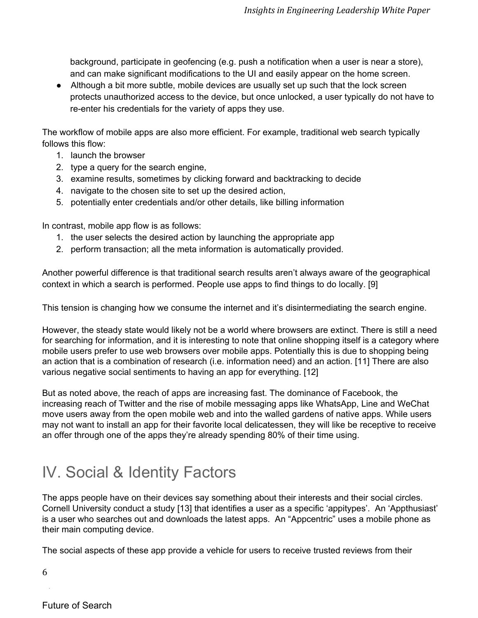background, participate in geofencing (e.g. push a notification when a user is near a store), and can make significant modifications to the UI and easily appear on the home screen.

● Although a bit more subtle, mobile devices are usually set up such that the lock screen protects unauthorized access to the device, but once unlocked, a user typically do not have to re-enter his credentials for the variety of apps they use.

The workflow of mobile apps are also more efficient. For example, traditional web search typically follows this flow:

- 1. launch the browser
- 2. type a query for the search engine,
- 3. examine results, sometimes by clicking forward and backtracking to decide
- 4. navigate to the chosen site to set up the desired action,
- 5. potentially enter credentials and/or other details, like billing information

In contrast, mobile app flow is as follows:

- 1. the user selects the desired action by launching the appropriate app
- 2. perform transaction; all the meta information is automatically provided.

Another powerful difference is that traditional search results aren't always aware of the geographical context in which a search is performed. People use apps to find things to do locally. [9]

This tension is changing how we consume the internet and it's disintermediating the search engine.

However, the steady state would likely not be a world where browsers are extinct. There is still a need for searching for information, and it is interesting to note that online shopping itself is a category where mobile users prefer to use web browsers over mobile apps. Potentially this is due to shopping being an action that is a combination of research (i.e. information need) and an action. [11] There are also various negative social sentiments to having an app for everything. [12]

But as noted above, the reach of apps are increasing fast. The dominance of Facebook, the increasing reach of Twitter and the rise of mobile messaging apps like WhatsApp, Line and WeChat move users away from the open mobile web and into the walled gardens of native apps. While users may not want to install an app for their favorite local delicatessen, they will like be receptive to receive an offer through one of the apps they're already spending 80% of their time using.

# IV. Social & Identity Factors

The apps people have on their devices say something about their interests and their social circles. Cornell University conduct a study [13] that identifies a user as a specific 'appitypes'. An 'Appthusiast' is a user who searches out and downloads the latest apps. An "Appcentric" uses a mobile phone as their main computing device.

The social aspects of these app provide a vehicle for users to receive trusted reviews from their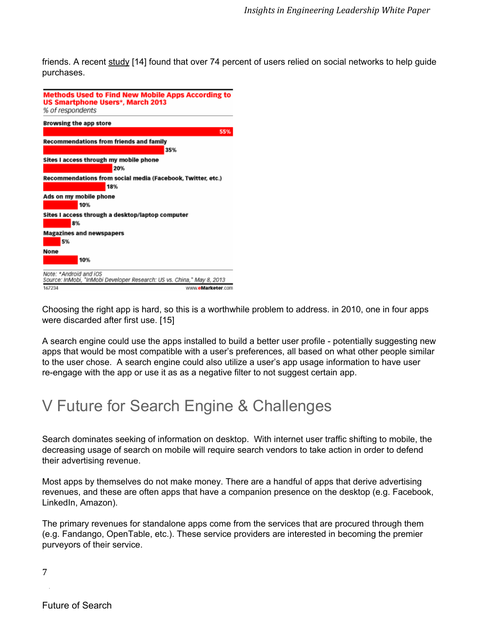friends. A recent [study](http://www.google.com/url?q=http%3A%2F%2Fwww.mediabistro.com%2Falltwitter%2Fsocial-commerce_b46141&sa=D&sntz=1&usg=AFQjCNHXJ2TAb2LFeQXwj5bMelxDBZHOzg) [14] found that over 74 percent of users relied on social networks to help guide purchases.



Choosing the right app is hard, so this is a worthwhile problem to address. in 2010, one in four apps were discarded after first use. [15]

A search engine could use the apps installed to build a better user profile potentially suggesting new apps that would be most compatible with a user's preferences, all based on what other people similar to the user chose. A search engine could also utilize a user's app usage information to have user re-engage with the app or use it as as a negative filter to not suggest certain app.

### V Future for Search Engine & Challenges

Search dominates seeking of information on desktop. With internet user traffic shifting to mobile, the decreasing usage of search on mobile will require search vendors to take action in order to defend their advertising revenue.

Most apps by themselves do not make money. There are a handful of apps that derive advertising revenues, and these are often apps that have a companion presence on the desktop (e.g. Facebook, LinkedIn, Amazon).

The primary revenues for standalone apps come from the services that are procured through them (e.g. Fandango, OpenTable, etc.). These service providers are interested in becoming the premier purveyors of their service.

Future of Search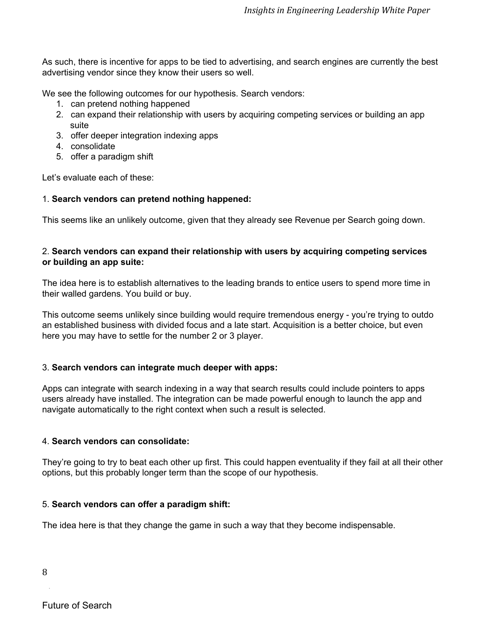As such, there is incentive for apps to be tied to advertising, and search engines are currently the best advertising vendor since they know their users so well.

We see the following outcomes for our hypothesis. Search vendors:

- 1. can pretend nothing happened
- 2. can expand their relationship with users by acquiring competing services or building an app suite
- 3. offer deeper integration indexing apps
- 4. consolidate
- 5. offer a paradigm shift

Let's evaluate each of these:

#### 1. **Search vendors can pretend nothing happened:**

This seems like an unlikely outcome, given that they already see Revenue per Search going down.

#### 2. **Search vendors can expand their relationship with users by acquiring competing services or building an app suite:**

The idea here is to establish alternatives to the leading brands to entice users to spend more time in their walled gardens. You build or buy.

This outcome seems unlikely since building would require tremendous energy - you're trying to outdo an established business with divided focus and a late start. Acquisition is a better choice, but even here you may have to settle for the number 2 or 3 player.

#### 3. **Search vendors can integrate much deeper with apps:**

Apps can integrate with search indexing in a way that search results could include pointers to apps users already have installed. The integration can be made powerful enough to launch the app and navigate automatically to the right context when such a result is selected.

#### 4. **Search vendors can consolidate:**

They're going to try to beat each other up first. This could happen eventuality if they fail at all their other options, but this probably longer term than the scope of our hypothesis.

#### 5. **Search vendors can offer a paradigm shift:**

The idea here is that they change the game in such a way that they become indispensable.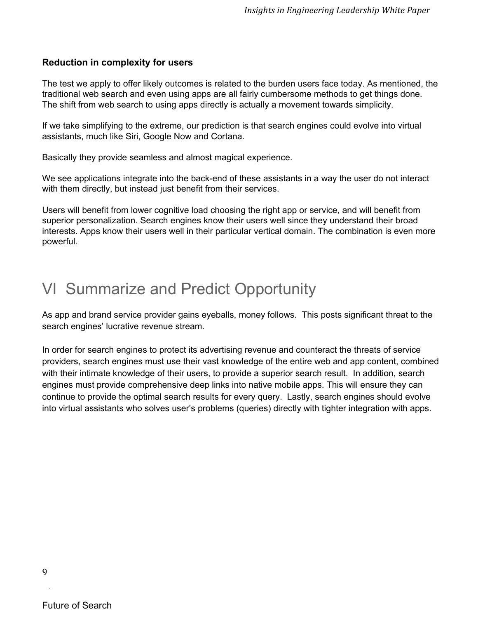#### **Reduction in complexity for users**

The test we apply to offer likely outcomes is related to the burden users face today. As mentioned, the traditional web search and even using apps are all fairly cumbersome methods to get things done. The shift from web search to using apps directly is actually a movement towards simplicity.

If we take simplifying to the extreme, our prediction is that search engines could evolve into virtual assistants, much like Siri, Google Now and Cortana.

Basically they provide seamless and almost magical experience.

We see applications integrate into the back-end of these assistants in a way the user do not interact with them directly, but instead just benefit from their services.

Users will benefit from lower cognitive load choosing the right app or service, and will benefit from superior personalization. Search engines know their users well since they understand their broad interests. Apps know their users well in their particular vertical domain. The combination is even more powerful.

### VI Summarize and Predict Opportunity

As app and brand service provider gains eyeballs, money follows. This posts significant threat to the search engines' lucrative revenue stream.

In order for search engines to protect its advertising revenue and counteract the threats of service providers, search engines must use their vast knowledge of the entire web and app content, combined with their intimate knowledge of their users, to provide a superior search result. In addition, search engines must provide comprehensive deep links into native mobile apps. This will ensure they can continue to provide the optimal search results for every query. Lastly, search engines should evolve into virtual assistants who solves user's problems (queries) directly with tighter integration with apps.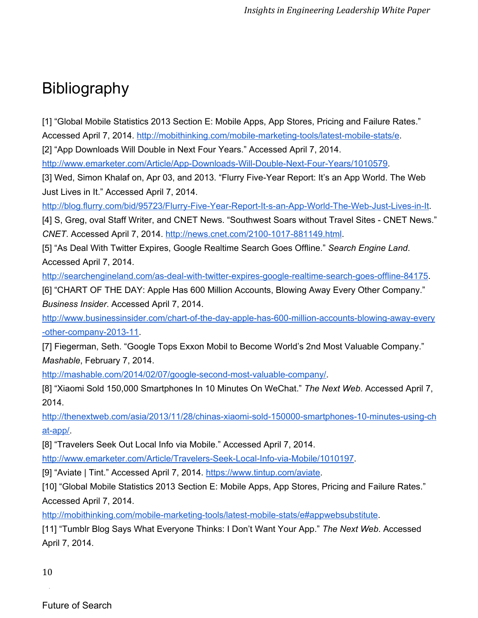# Bibliography

[1] "Global Mobile Statistics 2013 Section E: Mobile Apps, App Stores, Pricing and Failure Rates." Accessed April 7, 2014. http://mobithinking.com/mobile-marketing-tools/latest-mobile-stats/e.

[2] "App Downloads Will Double in Next Four Years." Accessed April 7, 2014.

http://www.emarketer.com/Article/App-Downloads-Will-Double-Next-Four-Years/1010579.

[3] Wed, Simon Khalaf on, Apr 03, and 2013. "Flurry Five-Year Report: It's an App World. The Web Just Lives in It." Accessed April 7, 2014.

http://blog.flurry.com/bid/95723/Flurry-Five-Year-Report-It-s-an-App-World-The-Web-Just-Lives-in-It.

[4] S, Greg, oval Staff Writer, and CNET News. "Southwest Soars without Travel Sites CNET News." *CNET. Accessed April 7, 2014. http://news.cnet.com/2100-1017-881149.html.* 

[5] "As Deal With Twitter Expires, Google Realtime Search Goes Offline." *Search Engine Land*. Accessed April 7, 2014.

http://searchengineland.com/as-deal-with-twitter-expires-google-realtime-search-goes-offline-84175.

[6] "CHART OF THE DAY: Apple Has 600 Million Accounts, Blowing Away Every Other Company." *Business Insider*. Accessed April 7, 2014.

http://www.businessinsider.com/chart-of-the-day-apple-has-600-million-accounts-blowing-away-every -other-company-2013-11.

[7] Fiegerman, Seth. "Google Tops Exxon Mobil to Become World's 2nd Most Valuable Company." *Mashable*, February 7, 2014.

http://mashable.com/2014/02/07/google-second-most-valuable-company/.

[8] "Xiaomi Sold 150,000 Smartphones In 10 Minutes On WeChat." *The Next Web*. Accessed April 7, 2014.

http://thenextweb.com/asia/2013/11/28/chinas-xiaomi-sold-150000-smartphones-10-minutes-using-ch at-app/.

[8] "Travelers Seek Out Local Info via Mobile." Accessed April 7, 2014.

http://www.emarketer.com/Article/Travelers-Seek-Local-Info-via-Mobile/1010197.

[9] "Aviate | Tint." Accessed April 7, 2014. [https://www.tintup.com/aviate](https://www.google.com/url?q=https%3A%2F%2Fwww.tintup.com%2Faviate&sa=D&sntz=1&usg=AFQjCNHE74y_fGuYLvzP_1GpffVtbtlnkA).

[10] "Global Mobile Statistics 2013 Section E: Mobile Apps, App Stores, Pricing and Failure Rates." Accessed April 7, 2014.

http://mobithinking.com/mobile-marketing-tools/latest-mobile-stats/e#appwebsubstitute.

[11] "Tumblr Blog Says What Everyone Thinks: I Don't Want Your App." *The Next Web*. Accessed April 7, 2014.

10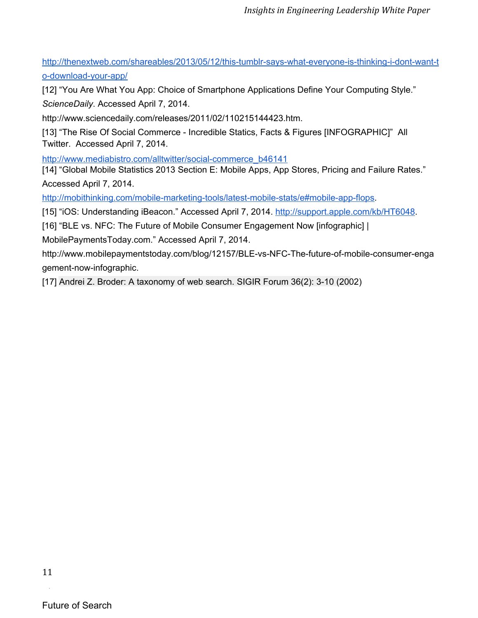http://thenextweb.com/shareables/2013/05/12/this-tumblr-says-what-everyone-is-thinking-i-dont-want-t o-download-your-app/

[12] "You Are What You App: Choice of Smartphone Applications Define Your Computing Style." *ScienceDaily*. Accessed April 7, 2014.

http://www.sciencedaily.com/releases/2011/02/110215144423.htm.

[13] "The Rise Of Social Commerce Incredible Statics, Facts & Figures [INFOGRAPHIC]" All Twitter. Accessed April 7, 2014.

http://www.mediabistro.com/alltwitter/social-commerce\_b46141

[14] "Global Mobile Statistics 2013 Section E: Mobile Apps, App Stores, Pricing and Failure Rates." Accessed April 7, 2014.

http://mobithinking.com/mobile-marketing-tools/latest-mobile-stats/e#mobile-app-flops.

[15] "iOS: Understanding iBeacon." Accessed April 7, 2014. [http://support.apple.com/kb/HT6048.](http://www.google.com/url?q=http%3A%2F%2Fsupport.apple.com%2Fkb%2FHT6048&sa=D&sntz=1&usg=AFQjCNHtw66j9Amqz8CE3zEU9fAtjXDFTw)

[16] "BLE vs. NFC: The Future of Mobile Consumer Engagement Now [infographic] |

MobilePaymentsToday.com." Accessed April 7, 2014.

http://www.mobilepaymentstoday.com/blog/12157/BLE-vs-NFC-The-future-of-mobile-consumer-enga gement-now-infographic.

[17] Andrei Z. Broder: A taxonomy of web search. SIGIR Forum 36(2): 310 (2002)